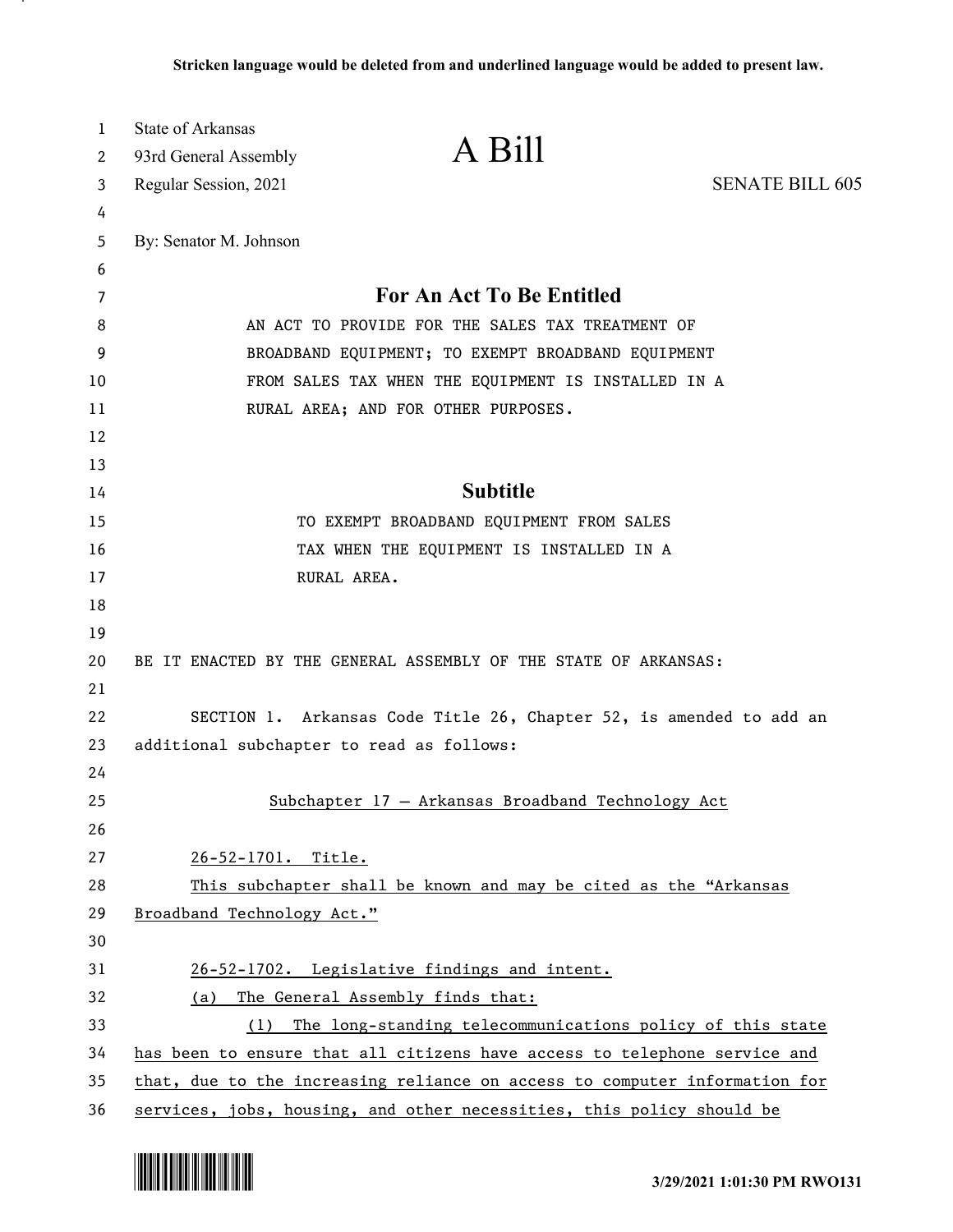| 1        | <b>State of Arkansas</b>                                                   |                                                                           |                        |
|----------|----------------------------------------------------------------------------|---------------------------------------------------------------------------|------------------------|
| 2        | 93rd General Assembly                                                      | A Bill                                                                    |                        |
| 3        | Regular Session, 2021                                                      |                                                                           | <b>SENATE BILL 605</b> |
| 4        |                                                                            |                                                                           |                        |
| 5        | By: Senator M. Johnson                                                     |                                                                           |                        |
| 6        |                                                                            |                                                                           |                        |
| 7        |                                                                            | For An Act To Be Entitled                                                 |                        |
| 8        | AN ACT TO PROVIDE FOR THE SALES TAX TREATMENT OF                           |                                                                           |                        |
| 9        |                                                                            | BROADBAND EQUIPMENT; TO EXEMPT BROADBAND EQUIPMENT                        |                        |
| 10       |                                                                            | FROM SALES TAX WHEN THE EQUIPMENT IS INSTALLED IN A                       |                        |
| 11       |                                                                            | RURAL AREA; AND FOR OTHER PURPOSES.                                       |                        |
| 12       |                                                                            |                                                                           |                        |
| 13<br>14 |                                                                            | <b>Subtitle</b>                                                           |                        |
| 15       |                                                                            | TO EXEMPT BROADBAND EQUIPMENT FROM SALES                                  |                        |
| 16       |                                                                            | TAX WHEN THE EQUIPMENT IS INSTALLED IN A                                  |                        |
| 17       |                                                                            | RURAL AREA.                                                               |                        |
| 18       |                                                                            |                                                                           |                        |
| 19       |                                                                            |                                                                           |                        |
| 20       |                                                                            | BE IT ENACTED BY THE GENERAL ASSEMBLY OF THE STATE OF ARKANSAS:           |                        |
| 21       |                                                                            |                                                                           |                        |
| 22       |                                                                            | SECTION 1. Arkansas Code Title 26, Chapter 52, is amended to add an       |                        |
| 23       | additional subchapter to read as follows:                                  |                                                                           |                        |
| 24       |                                                                            |                                                                           |                        |
| 25       |                                                                            | Subchapter 17 - Arkansas Broadband Technology Act                         |                        |
| 26       |                                                                            |                                                                           |                        |
| 27       | 26-52-1701. Title.                                                         |                                                                           |                        |
| 28       |                                                                            | This subchapter shall be known and may be cited as the "Arkansas          |                        |
| 29       | Broadband Technology Act."                                                 |                                                                           |                        |
| 30       |                                                                            |                                                                           |                        |
| 31       |                                                                            | 26-52-1702. Legislative findings and intent.                              |                        |
| 32       | (a)                                                                        | The General Assembly finds that:                                          |                        |
| 33       | (1)                                                                        | The long-standing telecommunications policy of this state                 |                        |
| 34       |                                                                            | has been to ensure that all citizens have access to telephone service and |                        |
| 35       | that, due to the increasing reliance on access to computer information for |                                                                           |                        |
| 36       |                                                                            | services, jobs, housing, and other necessities, this policy should be     |                        |

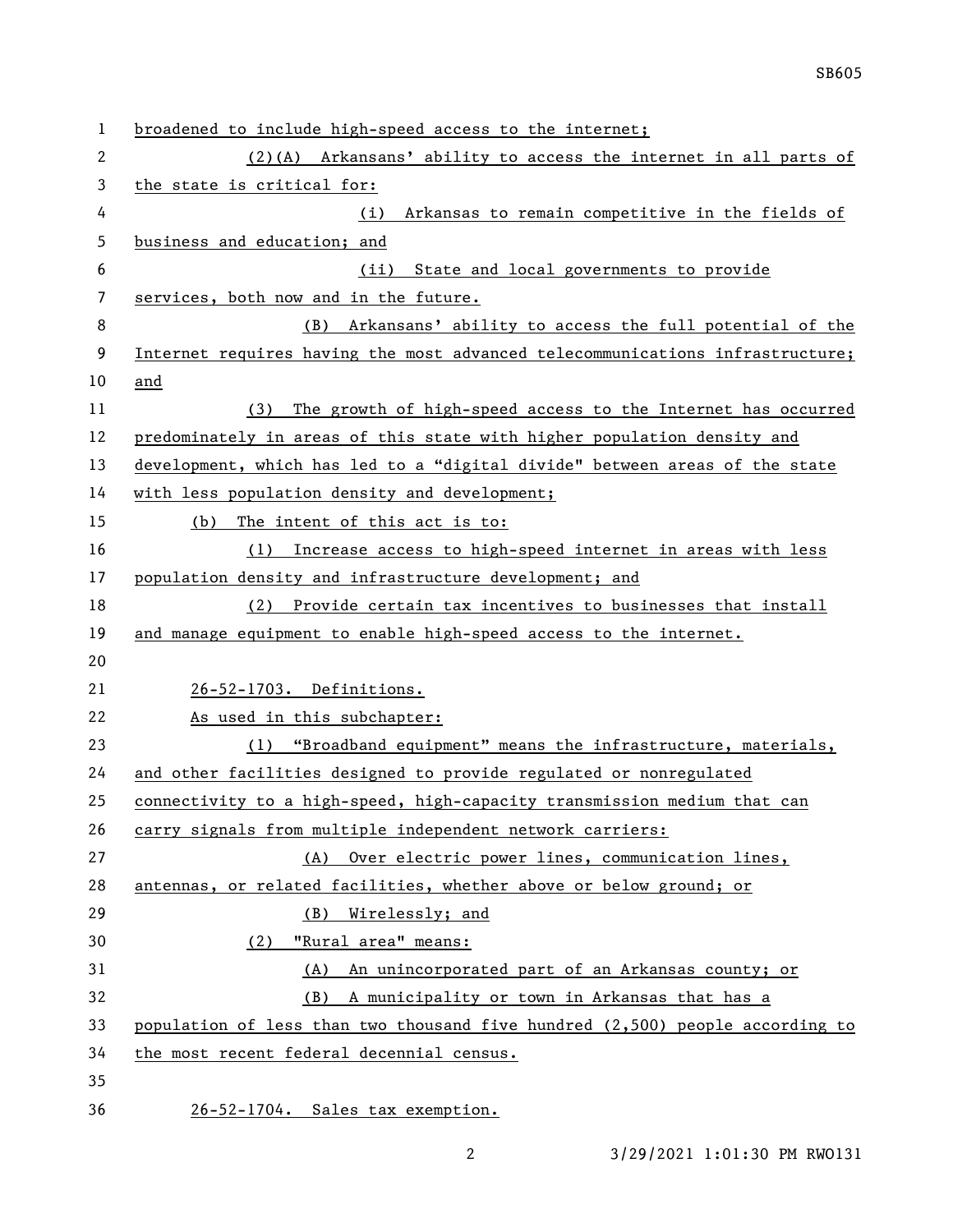| $\mathbf 1$ | broadened to include high-speed access to the internet;                       |  |
|-------------|-------------------------------------------------------------------------------|--|
| 2           | (2)(A) Arkansans' ability to access the internet in all parts of              |  |
| 3           | the state is critical for:                                                    |  |
| 4           | Arkansas to remain competitive in the fields of<br>(i)                        |  |
| 5           | business and education; and                                                   |  |
| 6           | State and local governments to provide<br>(ii)                                |  |
| 7           | services, both now and in the future.                                         |  |
| 8           | (B) Arkansans' ability to access the full potential of the                    |  |
| 9           | Internet requires having the most advanced telecommunications infrastructure; |  |
| 10          | and                                                                           |  |
| 11          | The growth of high-speed access to the Internet has occurred<br>(3)           |  |
| 12          | predominately in areas of this state with higher population density and       |  |
| 13          | development, which has led to a "digital divide" between areas of the state   |  |
| 14          | with less population density and development;                                 |  |
| 15          | The intent of this act is to:<br>(b)                                          |  |
| 16          | Increase access to high-speed internet in areas with less<br>(1)              |  |
| 17          | population density and infrastructure development; and                        |  |
| 18          | Provide certain tax incentives to businesses that install<br>(2)              |  |
| 19          | and manage equipment to enable high-speed access to the internet.             |  |
| 20          |                                                                               |  |
| 21          | 26-52-1703. Definitions.                                                      |  |
| 22          | As used in this subchapter:                                                   |  |
| 23          | (1) "Broadband equipment" means the infrastructure, materials,                |  |
| 24          | and other facilities designed to provide regulated or nonregulated            |  |
| 25          | connectivity to a high-speed, high-capacity transmission medium that can      |  |
| 26          | carry signals from multiple independent network carriers:                     |  |
| 27          | (A) Over electric power lines, communication lines,                           |  |
| 28          | antennas, or related facilities, whether above or below ground; or            |  |
| 29          | Wirelessly; and<br>(B)                                                        |  |
| 30          | "Rural area" means:<br>(2)                                                    |  |
| 31          | (A) An unincorporated part of an Arkansas county; or                          |  |
| 32          | A municipality or town in Arkansas that has a<br>(B)                          |  |
| 33          | population of less than two thousand five hundred (2,500) people according to |  |
| 34          | the most recent federal decennial census.                                     |  |
| 35          |                                                                               |  |
| 36          | 26-52-1704. Sales tax exemption.                                              |  |